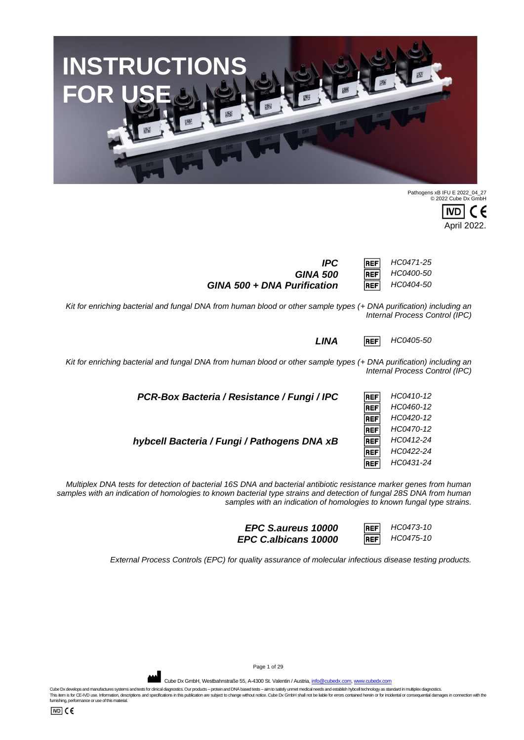Page 1 of 29

Cube Dx GmbH, Westbahnstraße 55, A-4300 St. Valentin / Austria, info@c

Cube Dx develops and manufactures systems and tests for clinical diagnostics. Our products – protein and DNA based tests – aim to satisfy unmet medical needs and establish hyboell technology as standard in multiplex diagno

*samples with an indication of homologies to known bacterial type strains and detection of fungal 28S DNA from human samples with an indication of homologies to known fungal type strains.*

*Multiplex DNA tests for detection of bacterial 16S DNA and bacterial antibiotic resistance marker genes from human* 

*PCR-Box Bacteria / Resistance / Fungi / IPC HC0410-12* **REF REF** 

*GINA 500* **REF** *HC0400-50*<br>*HEF HC0404-50 GINA 500 + DNA Purification* **REF** 

*Kit for enriching bacterial and fungal DNA from human blood or other sample types (+ DNA purification) including an Internal Process Control (IPC)*

*Kit for enriching bacterial and fungal DNA from human blood or other sample types (+ DNA purification) including an* 



**IVD** E April 2022.

*IPC HC0471-25*

*LINA HC0405-50*

*Internal Process Control (IPC)*

*HC0460-12 HC0420-12 HC0470-12* **REF** *hybcell Bacteria / Fungi / Pathogens DNA xB HC0412-24* **REF** *HC0422-24 HC0431-24* **REF** 

> *EPC S.aureus 10000* **REF** *HC0473-10*<br>**PC C albicans 10000 REF** *HC0475-10 EPC C.albicans 10000* **REF**

*External Process Controls (EPC) for quality assurance of molecular infectious disease testing products.*



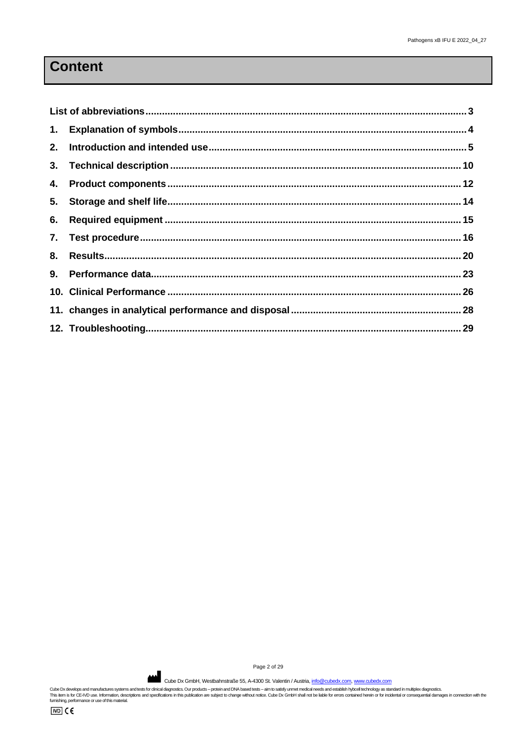# **Content**

Page 2 of 29

Cube Dx GmbH, Westbahnstraße 55, A-4300 St. Valentin / Austria[, info@cubedx.com,](mailto:info@cubedx.com) [www.cubedx.com](http://www.cubedx.com/)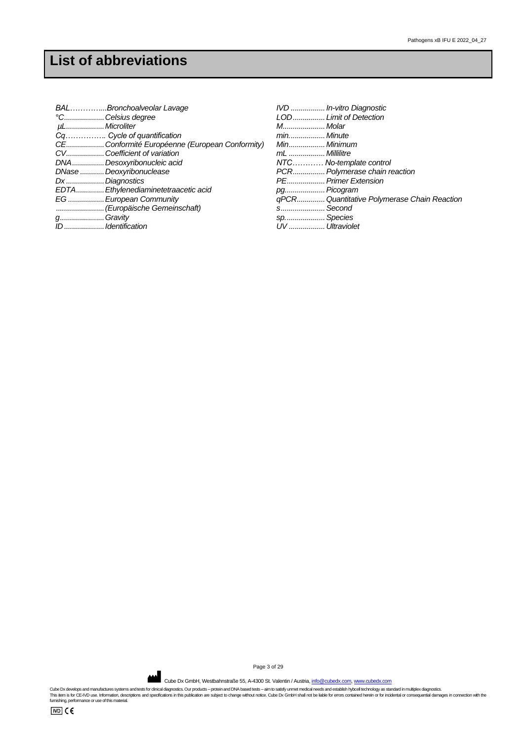<span id="page-2-0"></span>

| BALBronchoalveolar Lavage                      | IVD  In-vitro Diagnostic                    |
|------------------------------------------------|---------------------------------------------|
| °CCelsius degree                               | LOD Limit of Detection                      |
| µLMicroliter                                   | M Molar                                     |
| Cq Cycle of quantification                     | minMinute                                   |
| CE Conformité Européenne (European Conformity) |                                             |
| CVCoefficient of variation                     | mL  Millilitre                              |
| DNADesoxyribonucleic acid                      | NTC No-template control                     |
| DNase Deoxyribonuclease                        | PCR Polymerase chain reaction               |
| Dx  Diagnostics                                | PE Primer Extension                         |
| EDTA Ethylenediaminetetraacetic acid           | pg Picogram                                 |
| EG  European Community                         | qPCR Quantitative Polymerase Chain Reaction |
| (Europäische Gemeinschaft)                     | s Second                                    |
| gGravity                                       | sp Species                                  |
| ID Identification                              | UV  Ultraviolet                             |

Page 3 of 29

Cube Dx GmbH, Westbahnstraße 55, A-4300 St. Valentin / Austria[, info@cubedx.com,](mailto:info@cubedx.com) [www.cubedx.com](http://www.cubedx.com/)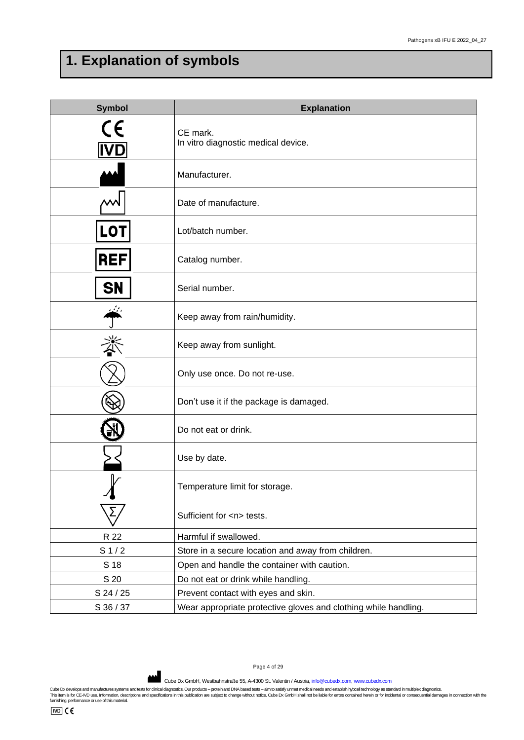# <span id="page-3-0"></span>**1. Explanation of symbols**

| <b>Symbol</b>            | <b>Explanation</b>                                              |
|--------------------------|-----------------------------------------------------------------|
| $\epsilon$<br><b>IVD</b> | CE mark.<br>In vitro diagnostic medical device.                 |
|                          | Manufacturer.                                                   |
|                          | Date of manufacture.                                            |
| LOT                      | Lot/batch number.                                               |
| <b>REF</b>               | Catalog number.                                                 |
| SN                       | Serial number.                                                  |
|                          | Keep away from rain/humidity.                                   |
|                          | Keep away from sunlight.                                        |
|                          | Only use once. Do not re-use.                                   |
|                          | Don't use it if the package is damaged.                         |
|                          | Do not eat or drink.                                            |
|                          | Use by date.                                                    |
|                          | Temperature limit for storage.                                  |
|                          | Sufficient for <n> tests.</n>                                   |
| R 22                     | Harmful if swallowed.                                           |
| S <sub>1/2</sub>         | Store in a secure location and away from children.              |
| S 18                     | Open and handle the container with caution.                     |
| S 20                     | Do not eat or drink while handling.                             |
| S 24 / 25                | Prevent contact with eyes and skin.                             |
| S 36 / 37                | Wear appropriate protective gloves and clothing while handling. |

Page 4 of 29

Cube Dx GmbH, Westbahnstraße 55, A-4300 St. Valentin / Austria[, info@cubedx.com,](mailto:info@cubedx.com) [www.cubedx.com](http://www.cubedx.com/)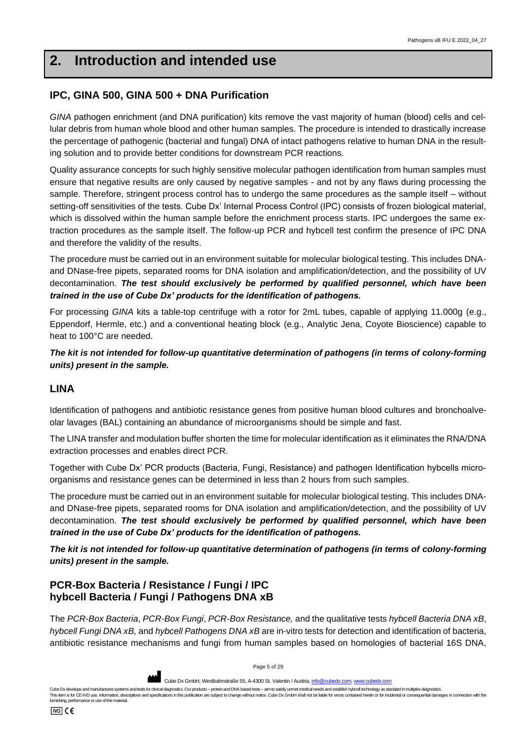# <span id="page-4-0"></span>**2. Introduction and intended use**

## **IPC, GINA 500, GINA 500 + DNA Purification**

*GINA* pathogen enrichment (and DNA purification) kits remove the vast majority of human (blood) cells and cellular debris from human whole blood and other human samples. The procedure is intended to drastically increase the percentage of pathogenic (bacterial and fungal) DNA of intact pathogens relative to human DNA in the resulting solution and to provide better conditions for downstream PCR reactions.

Quality assurance concepts for such highly sensitive molecular pathogen identification from human samples must ensure that negative results are only caused by negative samples - and not by any flaws during processing the sample. Therefore, stringent process control has to undergo the same procedures as the sample itself – without setting-off sensitivities of the tests. Cube Dx' Internal Process Control (IPC) consists of frozen biological material, which is dissolved within the human sample before the enrichment process starts. IPC undergoes the same extraction procedures as the sample itself. The follow-up PCR and hybcell test confirm the presence of IPC DNA and therefore the validity of the results.

The procedure must be carried out in an environment suitable for molecular biological testing. This includes DNAand DNase-free pipets, separated rooms for DNA isolation and amplification/detection, and the possibility of UV decontamination. *The test should exclusively be performed by qualified personnel, which have been trained in the use of Cube Dx' products for the identification of pathogens.*

For processing *GINA* kits a table-top centrifuge with a rotor for 2mL tubes, capable of applying 11.000g (e.g., Eppendorf, Hermle, etc.) and a conventional heating block (e.g., Analytic Jena, Coyote Bioscience) capable to heat to 100°C are needed.

*The kit is not intended for follow-up quantitative determination of pathogens (in terms of colony-forming units) present in the sample.*

#### **LINA**

Identification of pathogens and antibiotic resistance genes from positive human blood cultures and bronchoalveolar lavages (BAL) containing an abundance of microorganisms should be simple and fast.

The LINA transfer and modulation buffer shorten the time for molecular identification as it eliminates the RNA/DNA extraction processes and enables direct PCR.

Together with Cube Dx' PCR products (Bacteria, Fungi, Resistance) and pathogen Identification hybcells microorganisms and resistance genes can be determined in less than 2 hours from such samples.

The procedure must be carried out in an environment suitable for molecular biological testing. This includes DNAand DNase-free pipets, separated rooms for DNA isolation and amplification/detection, and the possibility of UV decontamination. *The test should exclusively be performed by qualified personnel, which have been trained in the use of Cube Dx' products for the identification of pathogens.*

*The kit is not intended for follow-up quantitative determination of pathogens (in terms of colony-forming units) present in the sample.*

# **PCR-Box Bacteria / Resistance / Fungi / IPC hybcell Bacteria / Fungi / Pathogens DNA xB**

The *PCR-Box Bacteria*, *PCR-Box Fungi*, *PCR-Box Resistance,* and the qualitative tests *hybcell Bacteria DNA xB*, *hybcell Fungi DNA xB,* and *hybcell Pathogens DNA xB* are in-vitro tests for detection and identification of bacteria, antibiotic resistance mechanisms and fungi from human samples based on homologies of bacterial 16S DNA,

Page 5 of 29

**AND** Cube Dx GmbH, Westbahnstraße 55, A-4300 St. Valentin / Austria, *info@cu* 

Cube Dx develops and manufactures systems and tests for clinical diagnostics. Our products – protein and DNA based tests – aim to satisfy unmet medical needs and establish byboel technology as standard in multiplex diagnos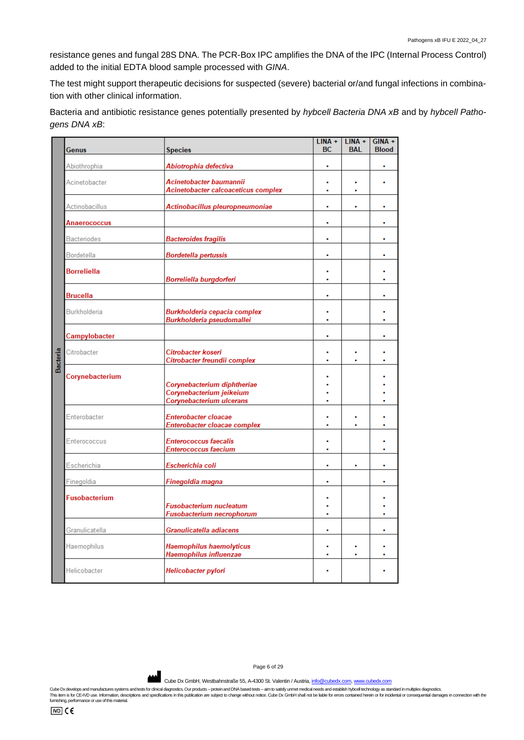resistance genes and fungal 28S DNA. The PCR-Box IPC amplifies the DNA of the IPC (Internal Process Control) added to the initial EDTA blood sample processed with *GINA*.

The test might support therapeutic decisions for suspected (severe) bacterial or/and fungal infections in combination with other clinical information.

Bacteria and antibiotic resistance genes potentially presented by *hybcell Bacteria DNA xB* and by *hybcell Pathogens DNA xB*:

|          |                      |                                                                                     | $LINA +$  | $LINA +$   | $GINA +$     |
|----------|----------------------|-------------------------------------------------------------------------------------|-----------|------------|--------------|
|          | Genus                | <b>Species</b>                                                                      | <b>BC</b> | <b>BAL</b> | <b>Blood</b> |
|          | Abiothrophia         | Abiotrophia defectiva                                                               | ٠         |            |              |
|          | Acinetobacter        | Acinetobacter baumannii<br>Acinetobacter calcoaceticus complex                      |           |            |              |
|          | Actinobacillus       | Actinobacillus pleuropneumoniae                                                     |           |            |              |
|          | Anaerococcus         |                                                                                     | ۰         |            | ٠            |
|          | <b>Bacteriodes</b>   | <b>Bacteroides fragilis</b>                                                         | ۰         |            | ٠            |
|          | Bordetella           | <b>Bordetella pertussis</b>                                                         | ۰         |            | ۰            |
|          | <b>Borreliella</b>   | Borreliella burgdorferi                                                             | ٠<br>٠    |            | ٠            |
|          | <b>Brucella</b>      |                                                                                     | ۰         |            | ٠            |
|          | Burkholderia         | Burkholderia cepacia complex<br>Burkholderia pseudomallei                           | ×         |            |              |
|          | Campylobacter        |                                                                                     | ۰         |            | ۰            |
| Bacteria | Citrobacter          | Citrobacter koseri<br>Citrobacter freundii complex                                  | ٠         |            |              |
|          | Corynebacterium      | Corynebacterium diphtheriae<br>Corynebacterium jeikeium<br>Corynebacterium ulcerans | ٠         |            |              |
|          | Enterobacter         | Enterobacter cloacae<br>Enterobacter cloacae complex                                | ٠         |            |              |
|          | Enterococcus         | <b>Enterococcus faecalis</b><br><b>Enterococcus faecium</b>                         | ٠         |            | ٠            |
|          | Escherichia          | Escherichia coli                                                                    | ٠         | ۰          | ٠            |
|          | Finegoldia           | Finegoldia magna                                                                    | ۰         |            | ٠            |
|          | <b>Fusobacterium</b> | <b>Fusobacterium nucleatum</b><br>Fusobacterium necrophorum                         | ٠         |            |              |
|          | Granulicatella       | Granulicatella adiacens                                                             | ٠         |            | ٠            |
|          | Haemophilus          | Haemophilus haemolyticus<br>Haemophilus influenzae                                  |           | $\bullet$  | ٠            |
|          | Helicobacter         | Helicobacter pylori                                                                 |           |            |              |

Page 6 of 29

Cube Dx GmbH, Westbahnstraße 55, A-4300 St. Valentin / Austria[, info@cubedx.com,](mailto:info@cubedx.com) [www.cubedx.com](http://www.cubedx.com/)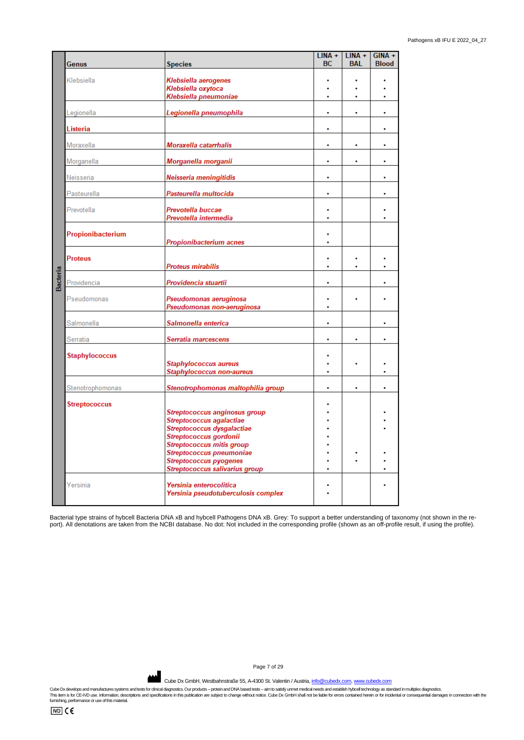|          | Genus                 | <b>Species</b>                                                 | $LINA +$<br>ВC            | $LINA +$<br><b>BAL</b> | $GINA +$<br><b>Blood</b> |
|----------|-----------------------|----------------------------------------------------------------|---------------------------|------------------------|--------------------------|
|          | Klebsiella            |                                                                |                           |                        |                          |
|          |                       | Klebsiella aerogenes<br>Klebsiella oxytoca                     |                           |                        |                          |
|          |                       | Klebsiella pneumoniae                                          |                           |                        |                          |
|          | Legionella            | Legionella pneumophila                                         | ٠                         | ö                      | ٠                        |
|          | Listeria              |                                                                | ä,                        |                        | ٠                        |
|          | Moraxella             | Moraxella catarrhalis                                          |                           |                        | ٠                        |
|          | Morganella            | Morganella morganii                                            | ۰                         | ٠                      | ۰                        |
|          | Neisseria             | Neisseria meningitidis                                         | ¥                         |                        | ٠                        |
|          | Pasteurella           | Pasteurella multocida                                          |                           |                        |                          |
|          | Prevotella            | Prevotella buccae                                              | ٠                         |                        |                          |
|          |                       | Prevotella intermedia                                          |                           |                        |                          |
|          | Propionibacterium     | Propionibacterium acnes                                        | ٠                         |                        |                          |
|          |                       |                                                                |                           |                        |                          |
|          | <b>Proteus</b>        | <b>Proteus mirabilis</b>                                       | ٠                         | ٠                      | ٠                        |
| Bacteria | Providencia           | Providencia stuartii                                           | ۰                         |                        | ٠                        |
|          | Pseudomonas           | Pseudomonas aeruginosa<br>Pseudomonas non-aeruginosa           | $\ddot{\phantom{0}}$<br>ä |                        |                          |
|          | Salmonella            | Salmonella enterica                                            | ۰                         |                        | ٠                        |
|          | Serratia              | Serratia marcescens                                            |                           |                        |                          |
|          | <b>Staphylococcus</b> | <b>Staphylococcus aureus</b><br>Staphylococcus non-aureus      |                           |                        |                          |
|          |                       |                                                                |                           |                        |                          |
|          | Stenotrophomonas      | Stenotrophomonas maltophilia group                             | ò                         | ö                      | ٠                        |
|          | <b>Streptococcus</b>  |                                                                |                           |                        |                          |
|          |                       | Streptococcus anginosus group<br>Streptococcus agalactiae      |                           |                        |                          |
|          |                       | Streptococcus dysgalactiae                                     |                           |                        |                          |
|          |                       | Streptococcus gordonii<br><b>Streptococcus mitis group</b>     |                           |                        |                          |
|          |                       | Streptococcus pneumoniae                                       |                           |                        |                          |
|          |                       | <b>Streptococcus pyogenes</b>                                  |                           |                        |                          |
|          |                       | Streptococcus salivarius group                                 |                           |                        |                          |
|          | Yersinia              | Yersinia enterocolitica<br>Yersinia pseudotuberculosis complex |                           |                        |                          |

Bacterial type strains of hybcell Bacteria DNA xB and hybcell Pathogens DNA xB. Grey: To support a better understanding of taxonomy (not shown in the report). All denotations are taken from the NCBI database. No dot: Not included in the corresponding profile (shown as an off-profile result, if using the profile).

Page 7 of 29

Cube Dx GmbH, Westbahnstraße 55, A-4300 St. Valentin / Austria[, info@cubedx.com,](mailto:info@cubedx.com) [www.cubedx.com](http://www.cubedx.com/)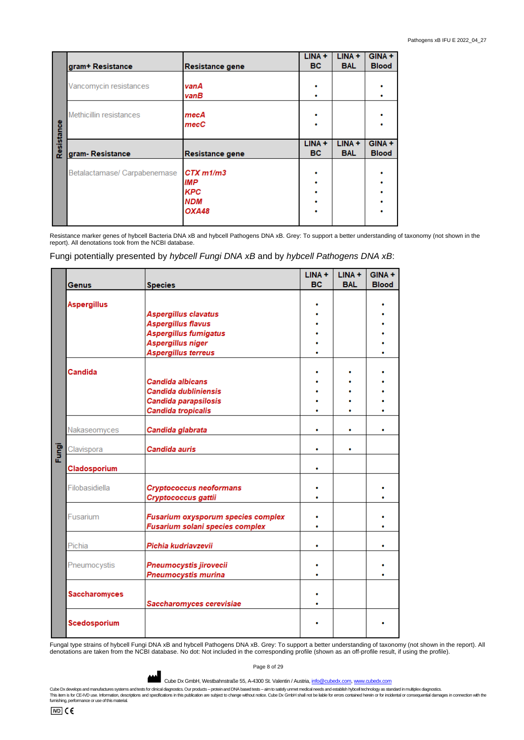|            |                              |                    | $LINA +$  | $LINA +$   | $GINA +$     |
|------------|------------------------------|--------------------|-----------|------------|--------------|
|            | gram+ Resistance             | Resistance gene    | <b>BC</b> | <b>BAL</b> | <b>Blood</b> |
|            |                              |                    |           |            |              |
|            | Vancomycin resistances       | van A              |           |            |              |
|            |                              | vanB               |           |            |              |
|            |                              |                    |           |            |              |
|            | Methicillin resistances      | mecA               |           |            |              |
|            |                              | $_{\mathrm{mecC}}$ |           |            |              |
| Resistance |                              |                    |           |            |              |
|            |                              |                    | $LINA +$  | $LINA +$   | $GINA +$     |
|            | gram-Resistance              | Resistance gene    | <b>BC</b> | <b>BAL</b> | <b>Blood</b> |
|            |                              |                    |           |            |              |
|            | Betalactamase/ Carpabenemase | $CTX$ $m1/m3$      |           |            |              |
|            |                              | IMP                |           |            |              |
|            |                              | <b>KPC</b>         |           |            |              |
|            |                              | <b>NDM</b>         |           |            |              |
|            |                              |                    |           |            |              |
|            |                              | OXA48              |           |            |              |

Resistance marker genes of hybcell Bacteria DNA xB and hybcell Pathogens DNA xB. Grey: To support a better understanding of taxonomy (not shown in the report). All denotations took from the NCBI database.

Fungi potentially presented by *hybcell Fungi DNA xB* and by *hybcell Pathogens DNA xB*:

|       | <b>Genus</b>         | <b>Species</b>                           | LINA +<br><b>BC</b> | $LINA +$<br><b>BAL</b> | GINA +<br><b>Blood</b> |
|-------|----------------------|------------------------------------------|---------------------|------------------------|------------------------|
|       |                      |                                          |                     |                        |                        |
|       | <b>Aspergillus</b>   |                                          |                     |                        |                        |
|       |                      | Aspergillus clavatus                     |                     |                        |                        |
|       |                      | <b>Aspergillus flavus</b>                |                     |                        |                        |
|       |                      | <b>Aspergillus fumigatus</b>             |                     |                        |                        |
|       |                      | Aspergillus niger                        |                     |                        |                        |
|       |                      | Aspergillus terreus                      |                     |                        |                        |
|       |                      |                                          |                     |                        |                        |
|       | Candida              |                                          |                     |                        |                        |
|       |                      | Candida albicans<br>Candida dubliniensis |                     |                        |                        |
|       |                      | Candida parapsilosis                     |                     |                        |                        |
|       |                      | <b>Candida tropicalis</b>                |                     |                        |                        |
|       |                      |                                          |                     |                        |                        |
|       | Nakaseomyces         | Candida glabrata                         | ٠                   | ٠                      |                        |
| Fungi | Clavispora           | Candida auris                            | ٠                   | ٠                      |                        |
|       | Cladosporium         |                                          | ٠                   |                        |                        |
|       | Filobasidiella       | <b>Cryptococcus neoformans</b>           |                     |                        |                        |
|       |                      | Cryptococcus gattii                      |                     |                        |                        |
|       |                      |                                          |                     |                        |                        |
|       | Fusarium             | Fusarium oxysporum species complex       |                     |                        |                        |
|       |                      | Fusarium solani species complex          |                     |                        |                        |
|       |                      |                                          |                     |                        |                        |
|       | Pichia               | Pichia kudriavzevii                      |                     |                        |                        |
|       | Pneumocystis         | Pneumocystis jirovecii                   |                     |                        |                        |
|       |                      | Pneumocystis murina                      |                     |                        |                        |
|       |                      |                                          |                     |                        |                        |
|       | <b>Saccharomyces</b> |                                          |                     |                        |                        |
|       |                      | Saccharomyces cerevisiae                 |                     |                        |                        |
|       | Scedosporium         |                                          |                     |                        |                        |

Fungal type strains of hybcell Fungi DNA xB and hybcell Pathogens DNA xB. Grey: To support a better understanding of taxonomy (not shown in the report). All denotations are taken from the NCBI database. No dot: Not included in the corresponding profile (shown as an off-profile result, if using the profile).

Page 8 of 29

Cube Dx GmbH, Westbahnstraße 55, A-4300 St. Valentin / Austria[, info@cubedx.com,](mailto:info@cubedx.com) [www.cubedx.com](http://www.cubedx.com/)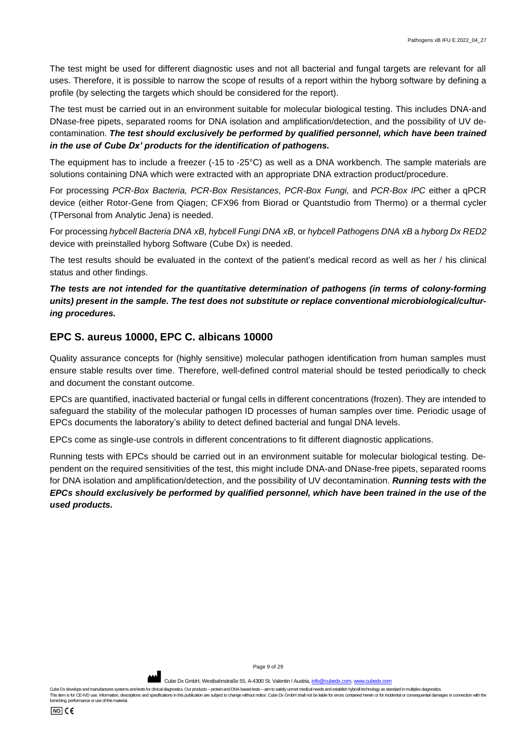The test might be used for different diagnostic uses and not all bacterial and fungal targets are relevant for all uses. Therefore, it is possible to narrow the scope of results of a report within the hyborg software by defining a profile (by selecting the targets which should be considered for the report).

The test must be carried out in an environment suitable for molecular biological testing. This includes DNA-and DNase-free pipets, separated rooms for DNA isolation and amplification/detection, and the possibility of UV decontamination. The test should exclusively be performed by qualified personnel, which have been trained *in the use of Cube Dx' products for the identification of pathogens.*

The equipment has to include a freezer (-15 to -25°C) as well as a DNA workbench. The sample materials are solutions containing DNA which were extracted with an appropriate DNA extraction product/procedure.

For processing *PCR-Box Bacteria, PCR-Box Resistances, PCR-Box Fungi,* and *PCR-Box IPC* either a qPCR device (either Rotor-Gene from Qiagen; CFX96 from Biorad or Quantstudio from Thermo) or a thermal cycler (TPersonal from Analytic Jena) is needed.

For processing *hybcell Bacteria DNA xB, hybcell Fungi DNA xB,* or *hybcell Pathogens DNA xB* a *hyborg Dx RED2* device with preinstalled hyborg Software (Cube Dx) is needed.

The test results should be evaluated in the context of the patient's medical record as well as her / his clinical status and other findings.

#### *The tests are not intended for the quantitative determination of pathogens (in terms of colony-forming units) present in the sample. The test does not substitute or replace conventional microbiological/culturing procedures.*

## **EPC S. aureus 10000, EPC C. albicans 10000**

Quality assurance concepts for (highly sensitive) molecular pathogen identification from human samples must ensure stable results over time. Therefore, well-defined control material should be tested periodically to check and document the constant outcome.

EPCs are quantified, inactivated bacterial or fungal cells in different concentrations (frozen). They are intended to safeguard the stability of the molecular pathogen ID processes of human samples over time. Periodic usage of EPCs documents the laboratory's ability to detect defined bacterial and fungal DNA levels.

EPCs come as single-use controls in different concentrations to fit different diagnostic applications.

Running tests with EPCs should be carried out in an environment suitable for molecular biological testing. Dependent on the required sensitivities of the test, this might include DNA-and DNase-free pipets, separated rooms for DNA isolation and amplification/detection, and the possibility of UV decontamination. *Running tests with the EPCs should exclusively be performed by qualified personnel, which have been trained in the use of the used products.*

Page 9 of 29

Cube Dx GmbH, Westbahnstraße 55, A-4300 St. Valentin / Austria, info@c

Cube Dx develops and manufactures systems and tests for clinical diagnostics. Our products – protein and DNA based tests – aim to satisfy unmet medical needs and establish byboel technology as standard in multiplex diagnos This item is for CE-IVD use. Information, descriptions and specifications in this publication are subject to change without notice. Cube Dx GmbH shall not be liable for errors contained herein or for incidental or conseque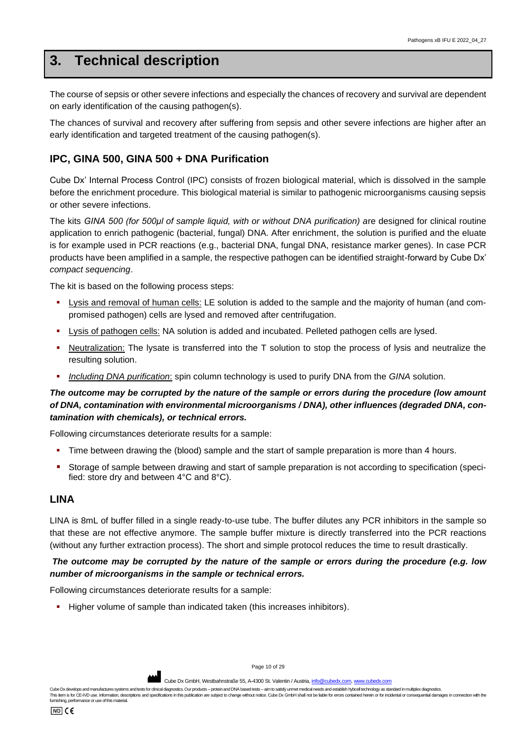# <span id="page-9-0"></span>**3. Technical description**

The course of sepsis or other severe infections and especially the chances of recovery and survival are dependent on early identification of the causing pathogen(s).

The chances of survival and recovery after suffering from sepsis and other severe infections are higher after an early identification and targeted treatment of the causing pathogen(s).

# **IPC, GINA 500, GINA 500 + DNA Purification**

Cube Dx' Internal Process Control (IPC) consists of frozen biological material, which is dissolved in the sample before the enrichment procedure. This biological material is similar to pathogenic microorganisms causing sepsis or other severe infections.

The kits *GINA 500 (for 500μl of sample liquid, with or without DNA purification) a*re designed for clinical routine application to enrich pathogenic (bacterial, fungal) DNA. After enrichment, the solution is purified and the eluate is for example used in PCR reactions (e.g., bacterial DNA, fungal DNA, resistance marker genes). In case PCR products have been amplified in a sample, the respective pathogen can be identified straight-forward by Cube Dx' *compact sequencing*.

The kit is based on the following process steps:

- Lysis and removal of human cells: LE solution is added to the sample and the majority of human (and compromised pathogen) cells are lysed and removed after centrifugation.
- Lysis of pathogen cells: NA solution is added and incubated. Pelleted pathogen cells are lysed.
- Neutralization: The lysate is transferred into the T solution to stop the process of lysis and neutralize the resulting solution.
- *Including DNA purification*: spin column technology is used to purify DNA from the *GINA* solution.

#### *The outcome may be corrupted by the nature of the sample or errors during the procedure (low amount of DNA, contamination with environmental microorganisms / DNA), other influences (degraded DNA, contamination with chemicals), or technical errors.*

Following circumstances deteriorate results for a sample:

- **.** Time between drawing the (blood) sample and the start of sample preparation is more than 4 hours.
- Storage of sample between drawing and start of sample preparation is not according to specification (specified: store dry and between 4°C and 8°C).

#### **LINA**

LINA is 8mL of buffer filled in a single ready-to-use tube. The buffer dilutes any PCR inhibitors in the sample so that these are not effective anymore. The sample buffer mixture is directly transferred into the PCR reactions (without any further extraction process). The short and simple protocol reduces the time to result drastically.

#### *The outcome may be corrupted by the nature of the sample or errors during the procedure (e.g. low number of microorganisms in the sample or technical errors.*

Following circumstances deteriorate results for a sample:

■ Higher volume of sample than indicated taken (this increases inhibitors).

Page 10 of 29

Cube Dx GmbH, Westbahnstraße 55, A-4300 St. Valentin / Austria, info@c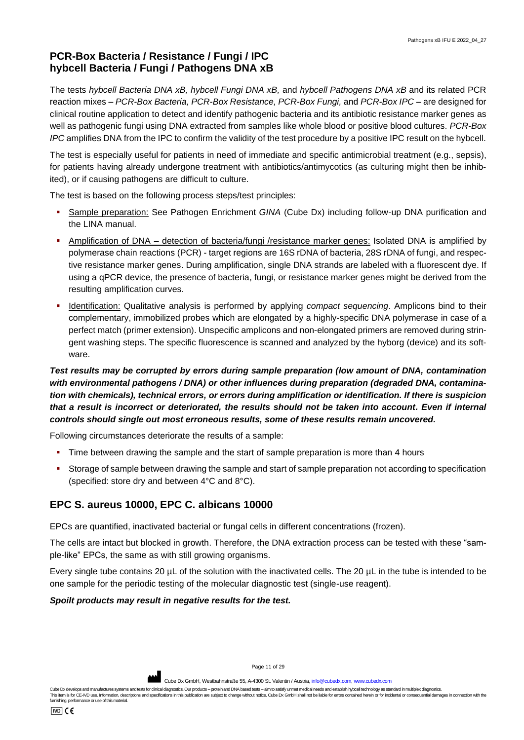# **PCR-Box Bacteria / Resistance / Fungi / IPC hybcell Bacteria / Fungi / Pathogens DNA xB**

The tests *hybcell Bacteria DNA xB, hybcell Fungi DNA xB,* and *hybcell Pathogens DNA xB* and its related PCR reaction mixes – *PCR-Box Bacteria, PCR-Box Resistance, PCR-Box Fungi,* and *PCR-Box IPC* – are designed for clinical routine application to detect and identify pathogenic bacteria and its antibiotic resistance marker genes as well as pathogenic fungi using DNA extracted from samples like whole blood or positive blood cultures. *PCR-Box IPC* amplifies DNA from the IPC to confirm the validity of the test procedure by a positive IPC result on the hybcell.

The test is especially useful for patients in need of immediate and specific antimicrobial treatment (e.g., sepsis), for patients having already undergone treatment with antibiotics/antimycotics (as culturing might then be inhibited), or if causing pathogens are difficult to culture.

The test is based on the following process steps/test principles:

- Sample preparation: See Pathogen Enrichment *GINA* (Cube Dx) including follow-up DNA purification and the LINA manual.
- Amplification of DNA detection of bacteria/fungi /resistance marker genes: Isolated DNA is amplified by polymerase chain reactions (PCR) - target regions are 16S rDNA of bacteria, 28S rDNA of fungi, and respective resistance marker genes. During amplification, single DNA strands are labeled with a fluorescent dye. If using a qPCR device, the presence of bacteria, fungi, or resistance marker genes might be derived from the resulting amplification curves.
- Identification: Qualitative analysis is performed by applying *compact sequencing*. Amplicons bind to their complementary, immobilized probes which are elongated by a highly-specific DNA polymerase in case of a perfect match (primer extension). Unspecific amplicons and non-elongated primers are removed during stringent washing steps. The specific fluorescence is scanned and analyzed by the hyborg (device) and its software.

## *Test results may be corrupted by errors during sample preparation (low amount of DNA, contamination with environmental pathogens / DNA) or other influences during preparation (degraded DNA, contamination with chemicals), technical errors, or errors during amplification or identification. If there is suspicion that a result is incorrect or deteriorated, the results should not be taken into account. Even if internal controls should single out most erroneous results, some of these results remain uncovered.*

Following circumstances deteriorate the results of a sample:

- **.** Time between drawing the sample and the start of sample preparation is more than 4 hours
- Storage of sample between drawing the sample and start of sample preparation not according to specification (specified: store dry and between 4°C and 8°C).

# **EPC S. aureus 10000, EPC C. albicans 10000**

EPCs are quantified, inactivated bacterial or fungal cells in different concentrations (frozen).

The cells are intact but blocked in growth. Therefore, the DNA extraction process can be tested with these "sample-like" EPCs, the same as with still growing organisms.

Every single tube contains 20 µL of the solution with the inactivated cells. The 20 µL in the tube is intended to be one sample for the periodic testing of the molecular diagnostic test (single-use reagent).

#### *Spoilt products may result in negative results for the test.*

Page 11 of 29

Cube Dx GmbH, Westbahnstraße 55, A-4300 St. Valentin / Austria[, info@cubedx.com,](mailto:info@cubedx.com) www.cu

Cube Dx develops and manufactures systems and tests for clinical diagnostics. Our products – protein and DNA based tests – aim to satisfy unmet medical needs and establish byboel technology as standard in multiplex diagnos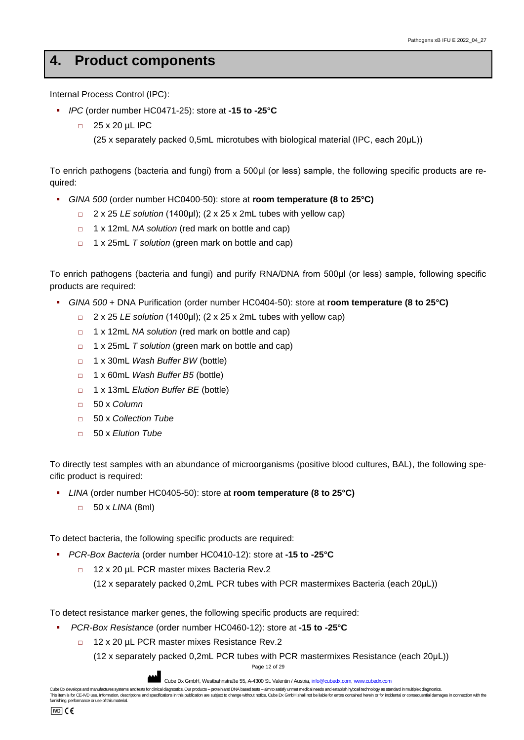# <span id="page-11-0"></span>**4. Product components**

Internal Process Control (IPC):

- *IPC* (order number HC0471-25): store at **-15 to -25°C**
	- □ 25 x 20 µL IPC

(25 x separately packed 0,5mL microtubes with biological material (IPC, each 20μL))

To enrich pathogens (bacteria and fungi) from a 500μl (or less) sample, the following specific products are required:

- *GINA 500* (order number HC0400-50): store at **room temperature (8 to 25°C)**
	- □ 2 x 25 *LE solution* (1400μl); (2 x 25 x 2mL tubes with yellow cap)
	- □ 1 x 12mL *NA solution* (red mark on bottle and cap)
	- □ 1 x 25mL *T solution* (green mark on bottle and cap)

To enrich pathogens (bacteria and fungi) and purify RNA/DNA from 500μl (or less) sample, following specific products are required:

- *GINA 500* + DNA Purification (order number HC0404-50): store at **room temperature (8 to 25°C)**
	- □ 2 x 25 *LE solution* (1400μl); (2 x 25 x 2mL tubes with yellow cap)
	- □ 1 x 12mL *NA solution* (red mark on bottle and cap)
	- □ 1 x 25mL *T solution* (green mark on bottle and cap)
	- □ 1 x 30mL *Wash Buffer BW* (bottle)
	- □ 1 x 60mL *Wash Buffer B5* (bottle)
	- □ 1 x 13mL *Elution Buffer BE* (bottle)
	- □ 50 x *Column*
	- □ 50 x *Collection Tube*
	- □ 50 x *Elution Tube*

To directly test samples with an abundance of microorganisms (positive blood cultures, BAL), the following specific product is required:

- *LINA* (order number HC0405-50): store at **room temperature (8 to 25°C)**
	- □ 50 x *LINA* (8ml)

To detect bacteria, the following specific products are required:

- *PCR-Box Bacteria* (order number HC0410-12): store at **-15 to -25°C**
	- □ 12 x 20 µL PCR master mixes Bacteria Rev.2

(12 x separately packed 0,2mL PCR tubes with PCR mastermixes Bacteria (each 20μL))

To detect resistance marker genes, the following specific products are required:

- *PCR-Box Resistance* (order number HC0460-12): store at **-15 to -25°C**
	- □ 12 x 20 µL PCR master mixes Resistance Rev.2
		- (12 x separately packed 0,2mL PCR tubes with PCR mastermixes Resistance (each 20μL))

Page 12 of 29

Cube Dx GmbH, Westbahnstraße 55, A-4300 St. Valentin / Austria, *info@cubedx.com*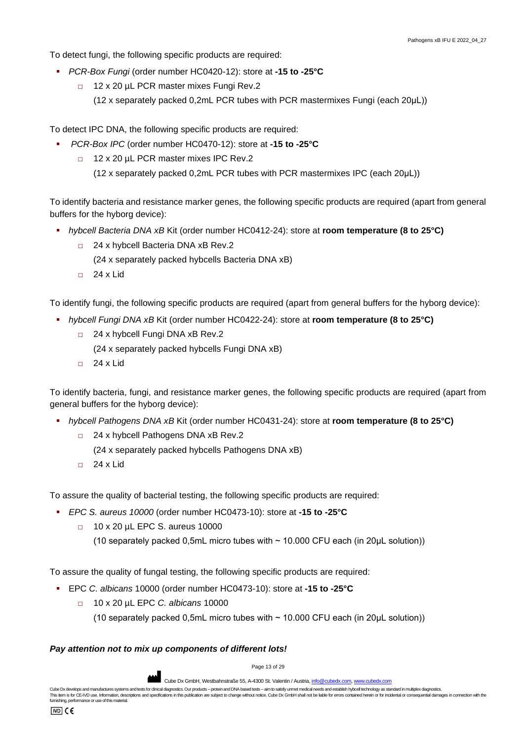To detect fungi, the following specific products are required:

- *PCR-Box Fungi* (order number HC0420-12): store at **-15 to -25°C**
	- □ 12 x 20 uL PCR master mixes Fungi Rev.2 (12 x separately packed 0,2mL PCR tubes with PCR mastermixes Fungi (each 20μL))

To detect IPC DNA, the following specific products are required:

- *PCR-Box IPC* (order number HC0470-12): store at **-15 to -25°C**
	- □ 12 x 20 µL PCR master mixes IPC Rev.2
		- (12 x separately packed 0,2mL PCR tubes with PCR mastermixes IPC (each 20μL))

To identify bacteria and resistance marker genes, the following specific products are required (apart from general buffers for the hyborg device):

- *hybcell Bacteria DNA xB* Kit (order number HC0412-24): store at **room temperature (8 to 25°C)**
	- □ 24 x hybcell Bacteria DNA xB Rev.2 (24 x separately packed hybcells Bacteria DNA xB)
	- $\Box$  24 x Lid

To identify fungi, the following specific products are required (apart from general buffers for the hyborg device):

- *hybcell Fungi DNA xB* Kit (order number HC0422-24): store at **room temperature (8 to 25°C)**
	- □ 24 x hybcell Fungi DNA xB Rev.2
		- (24 x separately packed hybcells Fungi DNA xB)
	- $\Box$  24 x Lid

To identify bacteria, fungi, and resistance marker genes, the following specific products are required (apart from general buffers for the hyborg device):

- *hybcell Pathogens DNA xB* Kit (order number HC0431-24): store at **room temperature (8 to 25°C)**
	- □ 24 x hybcell Pathogens DNA xB Rev.2
		- (24 x separately packed hybcells Pathogens DNA xB)
	- $\Box$  24 x Lid

To assure the quality of bacterial testing, the following specific products are required:

- *EPC S. aureus 10000* (order number HC0473-10): store at **-15 to -25°C**
	- □ 10 x 20 µL EPC S. aureus 10000 (10 separately packed 0,5mL micro tubes with ~ 10.000 CFU each (in 20μL solution))

To assure the quality of fungal testing, the following specific products are required:

- EPC *C. albicans* 10000 (order number HC0473-10): store at **-15 to -25°C**
	- □ 10 x 20 µL EPC *C. albicans* 10000
		- (10 separately packed 0,5mL micro tubes with  $\sim$  10.000 CFU each (in 20 $\mu$ L solution))

#### *Pay attention not to mix up components of different lots!*

Page 13 of 29

Cube Dx GmbH, Westbahnstraße 55, A-4300 St. Valentin / Austria, info@c

Cube Dx develops and manufactures systems and tests for clinical diagnostics. Our products - protein and DNA based tests - aim to satisfy unmet medical needs and establish hybcell technology as standard in multiplex diagno This item is for CE-IVD use. Information, descriptions and specifications in this publication are subject to change without notice. Cube Dx GmbH shall not be liable for errors contained herein or for incidental or conseque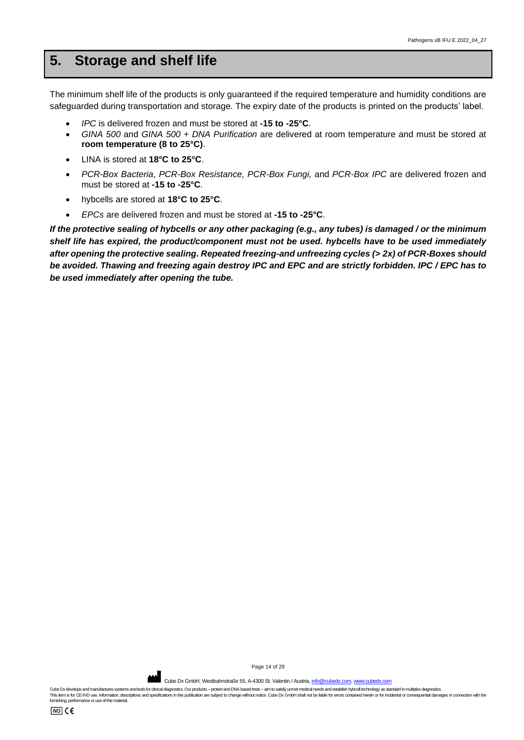# <span id="page-13-0"></span>**5. Storage and shelf life**

The minimum shelf life of the products is only guaranteed if the required temperature and humidity conditions are safeguarded during transportation and storage. The expiry date of the products is printed on the products' label.

- *IPC* is delivered frozen and must be stored at **-15 to -25°C**.
- *GINA 500* and *GINA 500 + DNA Purification* are delivered at room temperature and must be stored at **room temperature (8 to 25°C)**.
- LINA is stored at **18°C to 25°C**.
- *PCR-Box Bacteria*, *PCR-Box Resistance, PCR-Box Fungi,* and *PCR-Box IPC* are delivered frozen and must be stored at **-15 to -25°C**.
- hybcells are stored at **18°C to 25°C**.
- *EPCs* are delivered frozen and must be stored at **-15 to -25°C**.

*If the protective sealing of hybcells or any other packaging (e.g., any tubes) is damaged / or the minimum shelf life has expired, the product/component must not be used. hybcells have to be used immediately after opening the protective sealing. Repeated freezing-and unfreezing cycles (> 2x) of PCR-Boxes should be avoided. Thawing and freezing again destroy IPC and EPC and are strictly forbidden. IPC / EPC has to be used immediately after opening the tube.*

Page 14 of 29

Cube Dx GmbH, Westbahnstraße 55, A-4300 St. Valentin / Austria[, info@cubedx.com,](mailto:info@cubedx.com) www.cu

Cube Dx develops and manufactures systems and tests for clinical diagnostics. Our products - protein and DNA based tests - aim to satisfy unmet medical needs and establish hyboell technology as standard in multiplex diagno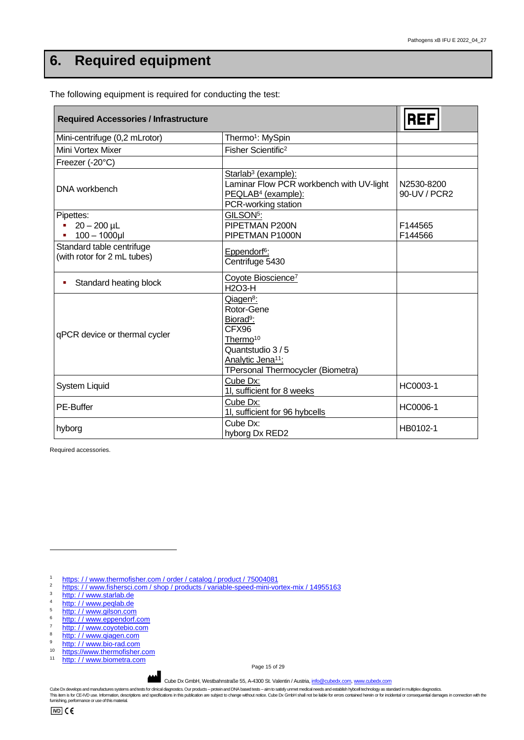# <span id="page-14-0"></span>**6. Required equipment**

| <b>Required Accessories / Infrastructure</b>             | <b>REF</b>                                                                                                                                                                             |                            |
|----------------------------------------------------------|----------------------------------------------------------------------------------------------------------------------------------------------------------------------------------------|----------------------------|
| Mini-centrifuge (0,2 mLrotor)                            | Thermo <sup>1</sup> : MySpin                                                                                                                                                           |                            |
| Mini Vortex Mixer                                        | Fisher Scientific <sup>2</sup>                                                                                                                                                         |                            |
| Freezer (-20°C)                                          |                                                                                                                                                                                        |                            |
| DNA workbench                                            | Starlab <sup>3</sup> (example):<br>Laminar Flow PCR workbench with UV-light<br>PEQLAB <sup>4</sup> (example):<br>PCR-working station                                                   | N2530-8200<br>90-UV / PCR2 |
| Pipettes:<br>$20 - 200$ µL<br>$100 - 1000$ µl            | GILSON <sup>5</sup> :<br>PIPETMAN P200N<br>PIPETMAN P1000N                                                                                                                             | F144565<br>F144566         |
| Standard table centrifuge<br>(with rotor for 2 mL tubes) | Eppendorf <sup>6</sup> :<br>Centrifuge 5430                                                                                                                                            |                            |
| Standard heating block                                   | Coyote Bioscience <sup>7</sup><br><b>H2O3-H</b>                                                                                                                                        |                            |
| qPCR device or thermal cycler                            | Qiagen <sup>8</sup> :<br>Rotor-Gene<br>Biorad <sup>9</sup> :<br>CFX96<br>Thermo <sup>10</sup><br>Quantstudio 3/5<br>Analytic Jena <sup>11</sup> :<br>TPersonal Thermocycler (Biometra) |                            |
| <b>System Liquid</b>                                     | Cube Dx:<br>11, sufficient for 8 weeks                                                                                                                                                 | HC0003-1                   |
| PE-Buffer                                                | Cube Dx:<br>1I, sufficient for 96 hybcells                                                                                                                                             | HC0006-1                   |
| hyborg                                                   | Cube Dx:<br>hyborg Dx RED2                                                                                                                                                             | HB0102-1                   |

The following equipment is required for conducting the test:

Required accessories.

1 https://www.thermofisher.com/order/catalog/product/75004081<br>2 https://www.tipheresi.com/oben/oreducte/verishle.coord.mini.vo

- <sup>2</sup> https://www.fishersci.com/shop/products/variable-speed-mini-vortex-mix/14955163
- $rac{3}{4}$  http://www.starlab.de
- $\frac{4}{5}$  http://www.peqlab.de
- $\frac{5}{6}$  http://www.gilson.com
- $\frac{6}{7}$  http://www.eppendorf.com
- $\frac{\text{http://www.coyotebio.com}}{\text{http://www.ciggen.com}}$
- $\frac{8}{9}$  http://www.qiagen.com
- $\frac{9}{10}$  http://www.bio-rad.com
- <sup>10</sup> https://www.thermofisher.com <sup>11</sup> http://www.biometra.com

Page 15 of 29

Cube Dx GmbH, Westbahnstraße 55, A-4300 St. Valentin / Austria[, info@cubedx.com,](mailto:info@cubedx.com) [www.cubedx.com](http://www.cubedx.com/)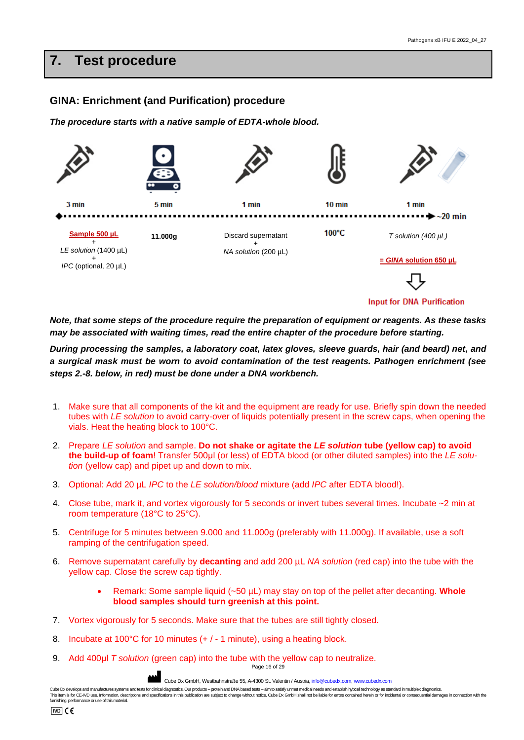# <span id="page-15-0"></span>**7. Test procedure**

# **GINA: Enrichment (and Purification) procedure**

*The procedure starts with a native sample of EDTA-whole blood.* 



*Note, that some steps of the procedure require the preparation of equipment or reagents. As these tasks may be associated with waiting times, read the entire chapter of the procedure before starting.*

*During processing the samples, a laboratory coat, latex gloves, sleeve guards, hair (and beard) net, and a surgical mask must be worn to avoid contamination of the test reagents. Pathogen enrichment (see steps 2.-8. below, in red) must be done under a DNA workbench.*

- 1. Make sure that all components of the kit and the equipment are ready for use. Briefly spin down the needed tubes with *LE solution* to avoid carry-over of liquids potentially present in the screw caps, when opening the vials. Heat the heating block to 100°C.
- 2. Prepare *LE solution* and sample. **Do not shake or agitate the** *LE solution* **tube (yellow cap) to avoid the build-up of foam**! Transfer 500μl (or less) of EDTA blood (or other diluted samples) into the *LE solution* (yellow cap) and pipet up and down to mix.
- 3. Optional: Add 20 µL *IPC* to the *LE solution/blood* mixture (add *IPC* after EDTA blood!).
- 4. Close tube, mark it, and vortex vigorously for 5 seconds or invert tubes several times. Incubate ~2 min at room temperature (18°C to 25°C).
- 5. Centrifuge for 5 minutes between 9.000 and 11.000g (preferably with 11.000g). If available, use a soft ramping of the centrifugation speed.
- 6. Remove supernatant carefully by **decanting** and add 200 µL *NA solution* (red cap) into the tube with the yellow cap. Close the screw cap tightly.
	- Remark: Some sample liquid (~50 µL) may stay on top of the pellet after decanting. **Whole blood samples should turn greenish at this point.**
- 7. Vortex vigorously for 5 seconds. Make sure that the tubes are still tightly closed.
- 8. Incubate at 100°C for 10 minutes (+ / 1 minute), using a heating block.
- 9. Add 400μl *T solution* (green cap) into the tube with the yellow cap to neutralize.

Page 16 of 29

Cube Dx GmbH, Westbahnstraße 55, A-4300 St. Valentin / Austria[, info@cubedx.com,](mailto:info@cubedx.com) www.cub

Cube Dx develops and manufactures systems and tests for clinical diagnostics. Our products – protein and DNA based tests – aim to satisfy unmet medical needs and establish byboel technology as standard in multiplex diagnos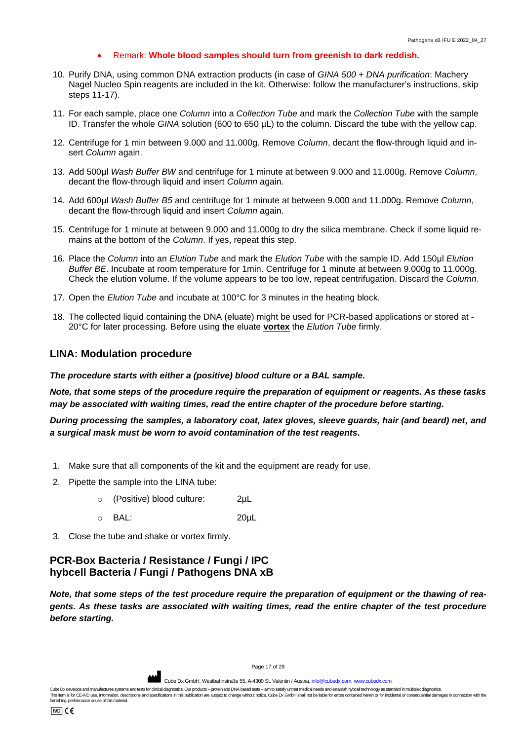#### • Remark: **Whole blood samples should turn from greenish to dark reddish.**

- 10. Purify DNA, using common DNA extraction products (in case of *GINA 500 + DNA purification*: Machery Nagel Nucleo Spin reagents are included in the kit. Otherwise: follow the manufacturer's instructions, skip steps 11-17).
- 11. For each sample, place one *Column* into a *Collection Tube* and mark the *Collection Tube* with the sample ID. Transfer the whole *GINA* solution (600 to 650 µL) to the column. Discard the tube with the yellow cap.
- 12. Centrifuge for 1 min between 9.000 and 11.000g. Remove *Column*, decant the flow-through liquid and insert *Column* again.
- 13. Add 500μl *Wash Buffer BW* and centrifuge for 1 minute at between 9.000 and 11.000g. Remove *Column*, decant the flow-through liquid and insert *Column* again.
- 14. Add 600μl *Wash Buffer B5* and centrifuge for 1 minute at between 9.000 and 11.000g. Remove *Column*, decant the flow-through liquid and insert *Column* again.
- 15. Centrifuge for 1 minute at between 9.000 and 11.000g to dry the silica membrane. Check if some liquid remains at the bottom of the *Column*. If yes, repeat this step.
- 16. Place the *Column* into an *Elution Tube* and mark the *Elution Tube* with the sample ID. Add 150μl *Elution Buffer BE*. Incubate at room temperature for 1min. Centrifuge for 1 minute at between 9.000g to 11.000g. Check the elution volume. If the volume appears to be too low, repeat centrifugation. Discard the *Column*.
- 17. Open the *Elution Tube* and incubate at 100°C for 3 minutes in the heating block.
- 18. The collected liquid containing the DNA (eluate) might be used for PCR-based applications or stored at 20°C for later processing. Before using the eluate **vortex** the *Elution Tube* firmly.

#### **LINA: Modulation procedure**

*The procedure starts with either a (positive) blood culture or a BAL sample.* 

*Note, that some steps of the procedure require the preparation of equipment or reagents. As these tasks may be associated with waiting times, read the entire chapter of the procedure before starting.*

*During processing the samples, a laboratory coat, latex gloves, sleeve guards, hair (and beard) net, and a surgical mask must be worn to avoid contamination of the test reagents.*

- 1. Make sure that all components of the kit and the equipment are ready for use.
- 2. Pipette the sample into the LINA tube:
	- o (Positive) blood culture: 2µL
	- o BAL: 20µL
- 3. Close the tube and shake or vortex firmly.

# **PCR-Box Bacteria / Resistance / Fungi / IPC hybcell Bacteria / Fungi / Pathogens DNA xB**

*Note, that some steps of the test procedure require the preparation of equipment or the thawing of reagents. As these tasks are associated with waiting times, read the entire chapter of the test procedure before starting.*

Cube Dx GmbH, Westbahnstraße 55, A-4300 St. Valentin / Austria[, info@cubedx.com,](mailto:info@cubedx.com) www.cu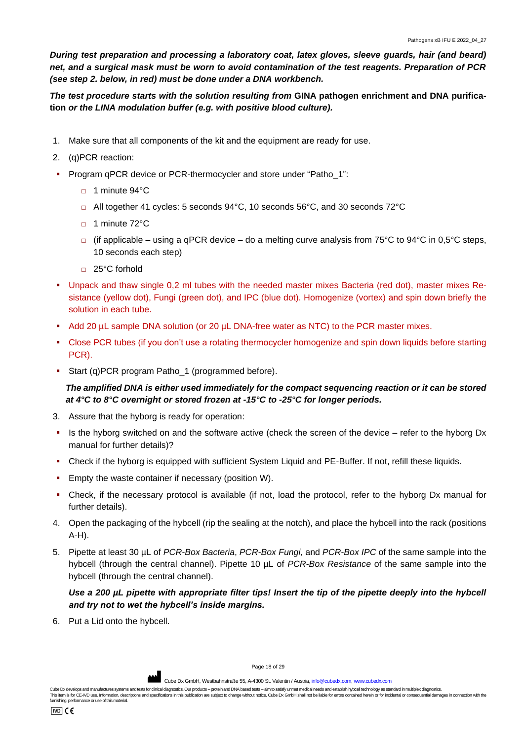*During test preparation and processing a laboratory coat, latex gloves, sleeve guards, hair (and beard) net, and a surgical mask must be worn to avoid contamination of the test reagents. Preparation of PCR (see step 2. below, in red) must be done under a DNA workbench.*

*The test procedure starts with the solution resulting from* **GINA pathogen enrichment and DNA purification** *or the LINA modulation buffer (e.g. with positive blood culture).*

- 1. Make sure that all components of the kit and the equipment are ready for use.
- 2. (q)PCR reaction:
- Program qPCR device or PCR-thermocycler and store under "Patho\_1":
	- □ 1 minute 94°C
	- $\Box$  All together 41 cycles: 5 seconds 94°C, 10 seconds 56°C, and 30 seconds 72°C
	- □ 1 minute 72°C
	- $\Box$  (if applicable using a qPCR device do a melting curve analysis from 75°C to 94°C in 0,5°C steps, 10 seconds each step)
	- □ 25°C forhold
- Unpack and thaw single 0,2 ml tubes with the needed master mixes Bacteria (red dot), master mixes Resistance (yellow dot), Fungi (green dot), and IPC (blue dot). Homogenize (vortex) and spin down briefly the solution in each tube.
- Add 20 µL sample DNA solution (or 20 µL DNA-free water as NTC) to the PCR master mixes.
- Close PCR tubes (if you don't use a rotating thermocycler homogenize and spin down liquids before starting PCR).
- Start (q)PCR program Patho 1 (programmed before).

*The amplified DNA is either used immediately for the compact sequencing reaction or it can be stored at 4°C to 8°C overnight or stored frozen at -15°C to -25°C for longer periods.*

- 3. Assure that the hyborg is ready for operation:
- Is the hyborg switched on and the software active (check the screen of the device refer to the hyborg Dx manual for further details)?
- Check if the hyborg is equipped with sufficient System Liquid and PE-Buffer. If not, refill these liquids.
- Empty the waste container if necessary (position W).
- Check, if the necessary protocol is available (if not, load the protocol, refer to the hyborg Dx manual for further details).
- 4. Open the packaging of the hybcell (rip the sealing at the notch), and place the hybcell into the rack (positions A-H).
- 5. Pipette at least 30 µL of *PCR-Box Bacteria*, *PCR-Box Fungi,* and *PCR-Box IPC* of the same sample into the hybcell (through the central channel). Pipette 10 µL of *PCR-Box Resistance* of the same sample into the hybcell (through the central channel).

## *Use a 200 µL pipette with appropriate filter tips! Insert the tip of the pipette deeply into the hybcell and try not to wet the hybcell's inside margins.*

6. Put a Lid onto the hybcell.

Page 18 of 29

**AND** Cube Dx GmbH, Westbahnstraße 55, A-4300 St. Valentin / Austria, info@c

Cube Dx develops and manufactures systems and tests for clinical diagnostics. Our products - protein and DNA based tests - aim to satisfy unmet medical needs and establish hybcell technology as standard in multiplex diagno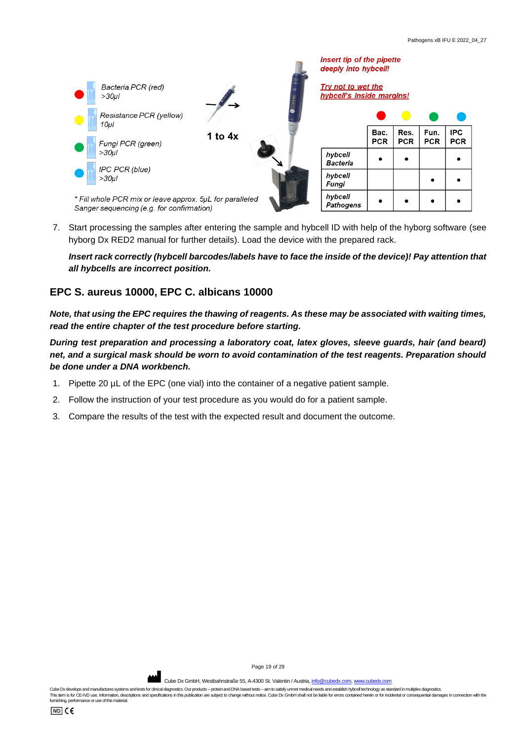

7. Start processing the samples after entering the sample and hybcell ID with help of the hyborg software (see hyborg Dx RED2 manual for further details). Load the device with the prepared rack.

*Insert rack correctly (hybcell barcodes/labels have to face the inside of the device)! Pay attention that all hybcells are incorrect position.*

## **EPC S. aureus 10000, EPC C. albicans 10000**

*Note, that using the EPC requires the thawing of reagents. As these may be associated with waiting times, read the entire chapter of the test procedure before starting.*

*During test preparation and processing a laboratory coat, latex gloves, sleeve guards, hair (and beard) net, and a surgical mask should be worn to avoid contamination of the test reagents. Preparation should be done under a DNA workbench.*

- 1. Pipette 20 µL of the EPC (one vial) into the container of a negative patient sample.
- 2. Follow the instruction of your test procedure as you would do for a patient sample.
- 3. Compare the results of the test with the expected result and document the outcome.



Page 19 of 29

Cube Dx GmbH, Westbahnstraße 55, A-4300 St. Valentin / Austria[, info@cubedx.com,](mailto:info@cubedx.com) www.cu

Cube Dx develops and manufactures systems and tests for clinical diagnostics. Our products - protein and DNA based tests - aim to satisfy unmet medical needs and establish hyboell technology as standard in multiplex diagno This item is for CE-IVD use. Information, descriptions and specifications in this publication are subject to change without notice. Cube Dx GmbH shall not be liable for errors contained herein or for incidental or conseque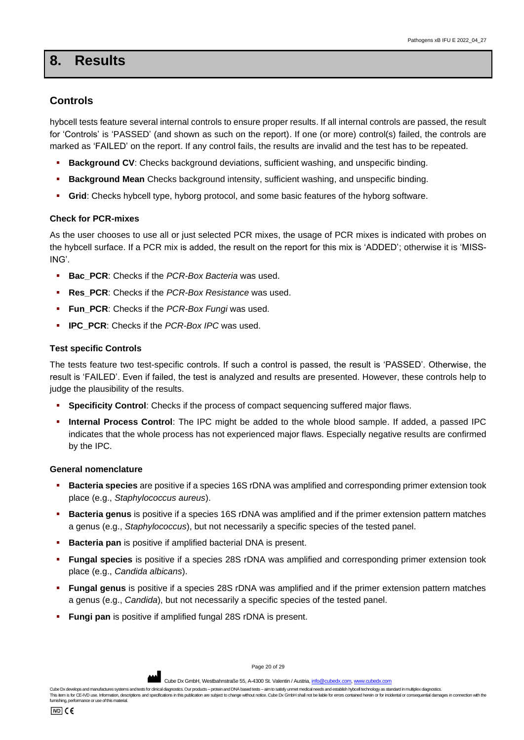# <span id="page-19-0"></span>**8. Results**

## **Controls**

hybcell tests feature several internal controls to ensure proper results. If all internal controls are passed, the result for 'Controls' is 'PASSED' (and shown as such on the report). If one (or more) control(s) failed, the controls are marked as 'FAILED' on the report. If any control fails, the results are invalid and the test has to be repeated.

- **Background CV:** Checks background deviations, sufficient washing, and unspecific binding.
- **Background Mean** Checks background intensity, sufficient washing, and unspecific binding.
- **Grid**: Checks hybcell type, hyborg protocol, and some basic features of the hyborg software.

#### **Check for PCR-mixes**

As the user chooses to use all or just selected PCR mixes, the usage of PCR mixes is indicated with probes on the hybcell surface. If a PCR mix is added, the result on the report for this mix is 'ADDED'; otherwise it is 'MISS-ING'.

- **Bac PCR:** Checks if the *PCR-Box Bacteria* was used.
- **Res\_PCR**: Checks if the *PCR-Box Resistance* was used.
- Fun\_PCR: Checks if the *PCR-Box Fungi* was used.
- **IPC\_PCR:** Checks if the *PCR-Box IPC* was used.

#### **Test specific Controls**

The tests feature two test-specific controls. If such a control is passed, the result is 'PASSED'. Otherwise, the result is 'FAILED'. Even if failed, the test is analyzed and results are presented. However, these controls help to judge the plausibility of the results.

- **Specificity Control**: Checks if the process of compact sequencing suffered major flaws.
- **Internal Process Control**: The IPC might be added to the whole blood sample. If added, a passed IPC indicates that the whole process has not experienced major flaws. Especially negative results are confirmed by the IPC.

#### **General nomenclature**

- **Bacteria species** are positive if a species 16S rDNA was amplified and corresponding primer extension took place (e.g., *Staphylococcus aureus*).
- **Bacteria genus** is positive if a species 16S rDNA was amplified and if the primer extension pattern matches a genus (e.g., *Staphylococcus*), but not necessarily a specific species of the tested panel.
- **Bacteria pan** is positive if amplified bacterial DNA is present.
- **Fungal species** is positive if a species 28S rDNA was amplified and corresponding primer extension took place (e.g., *Candida albicans*).
- **Fungal genus** is positive if a species 28S rDNA was amplified and if the primer extension pattern matches a genus (e.g., *Candida*), but not necessarily a specific species of the tested panel.
- **Fungi pan** is positive if amplified fungal 28S rDNA is present.

Page 20 of 29

Cube Dx GmbH, Westbahnstraße 55, A-4300 St. Valentin / Austria, info@c

Cube Dx develops and manufactures systems and tests for clinical diagnostics. Our products – protein and DNA based tests – aim to satisfy unmet medical needs and establish byboel technology as standard in multiplex diagnos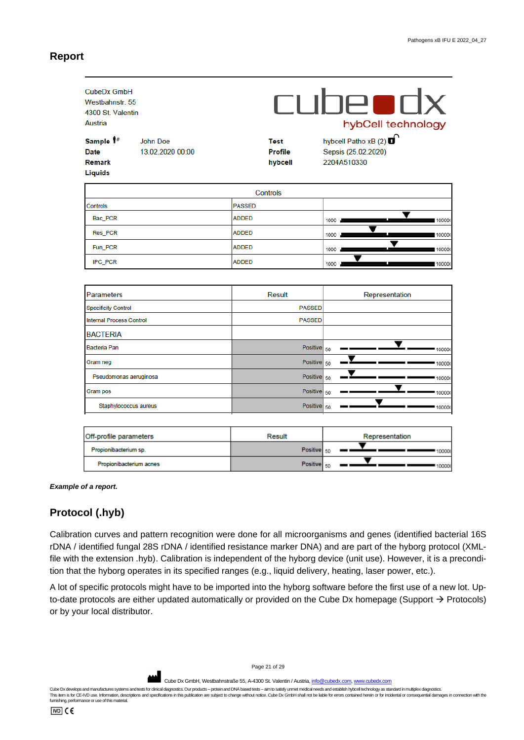#### **Report**

| CubeDx GmbH<br>Westbahnstr. 55<br>4300 St. Valentin<br>Austria<br>Sample 1#<br><b>Date</b><br><b>Remark</b><br><b>Liquids</b> | John Doe<br>13.02.2020 00:00 |               | <b>Test</b><br><b>Profile</b><br>hybcell | <b>CUDeodx</b><br>hybCell technology<br>hybcell Patho xB (2) O<br>Sepsis (25.02.2020)<br>2204A510330 |
|-------------------------------------------------------------------------------------------------------------------------------|------------------------------|---------------|------------------------------------------|------------------------------------------------------------------------------------------------------|
|                                                                                                                               |                              |               | <b>Controls</b>                          |                                                                                                      |
| <b>Controls</b>                                                                                                               |                              | <b>PASSED</b> |                                          |                                                                                                      |
| Bac_PCR                                                                                                                       |                              | <b>ADDED</b>  |                                          | 1000<br>100000                                                                                       |
| Res PCR                                                                                                                       |                              | <b>ADDED</b>  |                                          | 1000<br>100000                                                                                       |
| Fun PCR                                                                                                                       |                              | <b>ADDED</b>  |                                          | $1000 -$<br>10000                                                                                    |
| IPC_PCR                                                                                                                       |                              | <b>ADDED</b>  |                                          | $1000 -$<br>10000                                                                                    |
|                                                                                                                               |                              |               |                                          |                                                                                                      |
| <b>Parameters</b>                                                                                                             |                              |               | <b>Result</b>                            | Representation                                                                                       |
| <b>Specificity Control</b>                                                                                                    |                              |               | <b>PASSED</b>                            |                                                                                                      |
| <b>Internal Process Control</b>                                                                                               |                              |               | <b>PASSED</b>                            |                                                                                                      |
| <b>BACTERIA</b>                                                                                                               |                              |               |                                          |                                                                                                      |
| <b>Bacteria Pan</b>                                                                                                           |                              |               | <b>Positive</b>                          | 50<br>100000                                                                                         |
| Gram neg                                                                                                                      |                              |               | Positive <sup>50</sup>                   | 100000                                                                                               |
| Pseudomonas aeruginosa                                                                                                        |                              |               | Positive                                 | 50<br>10000                                                                                          |
| Gram pos                                                                                                                      |                              |               | <b>Positive</b>                          | 50<br>100000                                                                                         |
| Staphylococcus aureus                                                                                                         |                              |               | Positive 50                              | 100000                                                                                               |
|                                                                                                                               |                              |               |                                          |                                                                                                      |
|                                                                                                                               |                              |               |                                          |                                                                                                      |

| Off-profile parameters  | Result           | Representation |  |  |
|-------------------------|------------------|----------------|--|--|
| Propionibacterium sp.   | Positive 50      | 100001         |  |  |
| Propionibacterium acnes | Positive $_{50}$ | 100001         |  |  |

#### *Example of a report.*

#### **Protocol (.hyb)**

Calibration curves and pattern recognition were done for all microorganisms and genes (identified bacterial 16S rDNA / identified fungal 28S rDNA / identified resistance marker DNA) and are part of the hyborg protocol (XMLfile with the extension .hyb). Calibration is independent of the hyborg device (unit use). However, it is a precondition that the hyborg operates in its specified ranges (e.g., liquid delivery, heating, laser power, etc.).

A lot of specific protocols might have to be imported into the hyborg software before the first use of a new lot. Upto-date protocols are either updated automatically or provided on the Cube Dx homepage (Support → Protocols) or by your local distributor.

Page 21 of 29

Cube Dx GmbH, Westbahnstraße 55, A-4300 St. Valentin / Austria[, info@cubedx.com,](mailto:info@cubedx.com) [www.cubedx.com](http://www.cubedx.com/)

Cube Dx develops and manufactures systems and tests for clinical diagnostics. Our products - protein and DNA based tests - aim to satisfy unmet medical needs and establish hyboell technology as standard in multiplex diagno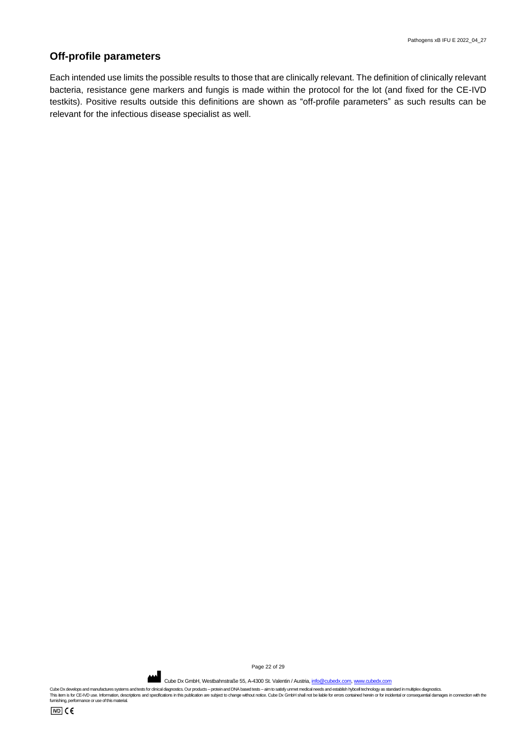# **Off-profile parameters**

Each intended use limits the possible results to those that are clinically relevant. The definition of clinically relevant bacteria, resistance gene markers and fungis is made within the protocol for the lot (and fixed for the CE-IVD testkits). Positive results outside this definitions are shown as "off-profile parameters" as such results can be relevant for the infectious disease specialist as well.

Page 22 of 29

Cube Dx GmbH, Westbahnstraße 55, A-4300 St. Valentin / Austria[, info@cubedx.com,](mailto:info@cubedx.com) [www.cubedx.com](http://www.cubedx.com/)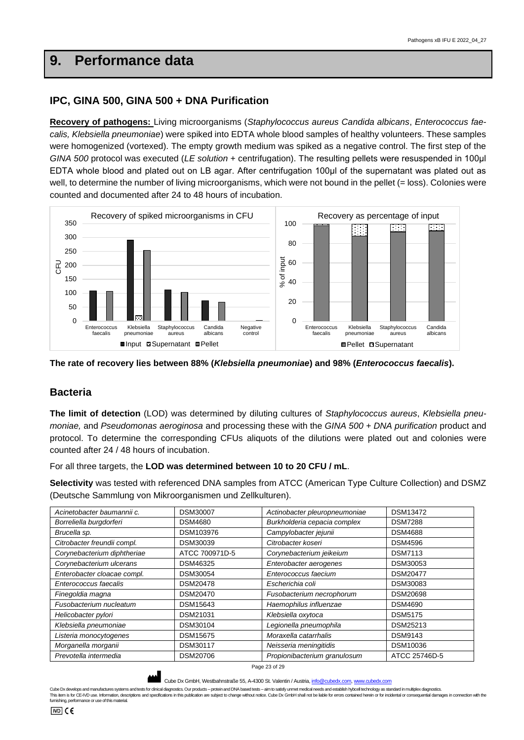# <span id="page-22-0"></span>**9. Performance data**

## **IPC, GINA 500, GINA 500 + DNA Purification**

**Recovery of pathogens:** Living microorganisms (*Staphylococcus aureus Candida albicans*, *Enterococcus faecalis, Klebsiella pneumoniae*) were spiked into EDTA whole blood samples of healthy volunteers. These samples were homogenized (vortexed). The empty growth medium was spiked as a negative control. The first step of the *GINA 500* protocol was executed (*LE solution* + centrifugation). The resulting pellets were resuspended in 100μl EDTA whole blood and plated out on LB agar. After centrifugation 100μl of the supernatant was plated out as well, to determine the number of living microorganisms, which were not bound in the pellet (= loss). Colonies were counted and documented after 24 to 48 hours of incubation.



**The rate of recovery lies between 88% (***Klebsiella pneumoniae***) and 98% (***Enterococcus faecalis***).** 

#### **Bacteria**

**The limit of detection** (LOD) was determined by diluting cultures of *Staphylococcus aureus*, *Klebsiella pneumoniae,* and *Pseudomonas aeroginosa* and processing these with the *GINA 500 + DNA purification* product and protocol. To determine the corresponding CFUs aliquots of the dilutions were plated out and colonies were counted after 24 / 48 hours of incubation.

For all three targets, the **LOD was determined between 10 to 20 CFU / mL**.

**Selectivity** was tested with referenced DNA samples from ATCC (American Type Culture Collection) and DSMZ (Deutsche Sammlung von Mikroorganismen und Zellkulturen).

| Acinetobacter baumannii c.  | <b>DSM30007</b> | Actinobacter pleuropneumoniae | <b>DSM13472</b> |
|-----------------------------|-----------------|-------------------------------|-----------------|
| Borreliella burgdorferi     | <b>DSM4680</b>  | Burkholderia cepacia complex  | <b>DSM7288</b>  |
| Brucella sp.                | DSM103976       | Campylobacter jejunii         | <b>DSM4688</b>  |
| Citrobacter freundii compl. | <b>DSM30039</b> | Citrobacter koseri            | <b>DSM4596</b>  |
| Corynebacterium diphtheriae | ATCC 700971D-5  | Corynebacterium jeikeium      | <b>DSM7113</b>  |
| Corynebacterium ulcerans    | DSM46325        | Enterobacter aerogenes        | DSM30053        |
| Enterobacter cloacae compl. | DSM30054        | Enterococcus faecium          | <b>DSM20477</b> |
| Enterococcus faecalis       | <b>DSM20478</b> | Escherichia coli              | DSM30083        |
| Finegoldia magna            | DSM20470        | Fusobacterium necrophorum     | <b>DSM20698</b> |
| Fusobacterium nucleatum     | DSM15643        | Haemophilus influenzae        | <b>DSM4690</b>  |
| Helicobacter pylori         | DSM21031        | Klebsiella oxytoca            | <b>DSM5175</b>  |
| Klebsiella pneumoniae       | DSM30104        | Legionella pneumophila        | DSM25213        |
| Listeria monocytogenes      | <b>DSM15675</b> | Moraxella catarrhalis         | <b>DSM9143</b>  |
| Morganella morganii         | <b>DSM30117</b> | Neisseria meningitidis        | DSM10036        |
| Prevotella intermedia       | <b>DSM20706</b> | Propionibacterium granulosum  | ATCC 25746D-5   |



Cube Dx GmbH, Westbahnstraße 55, A-4300 St. Valentin / Austria, info@o

Cube Dx develops and manufactures systems and tests for clinical diagnostics. Our products – protein and DNA based tests – aim to satisfy unmet medical needs and establish byboel technology as standard in multiplex diagnos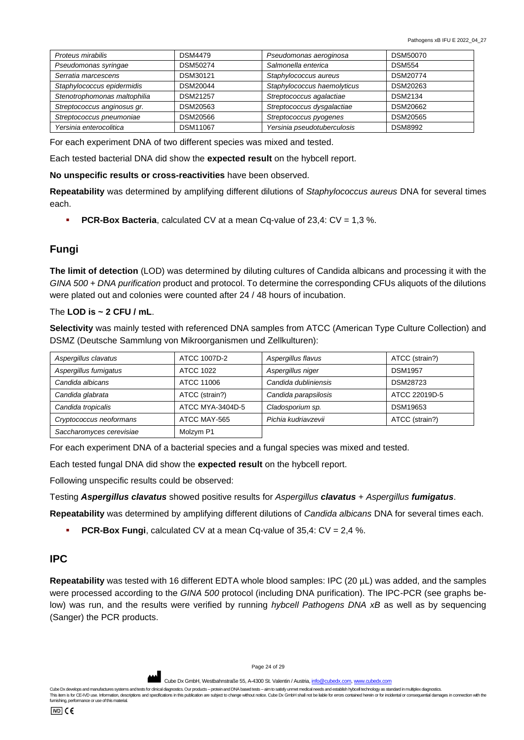| Proteus mirabilis            | <b>DSM4479</b>  | Pseudomonas aeroginosa      | DSM50070        |
|------------------------------|-----------------|-----------------------------|-----------------|
| Pseudomonas syringae         | DSM50274        | Salmonella enterica         | <b>DSM554</b>   |
| Serratia marcescens          | DSM30121        | Staphylococcus aureus       | <b>DSM20774</b> |
| Staphylococcus epidermidis   | DSM20044        | Staphylococcus haemolyticus | DSM20263        |
| Stenotrophomonas maltophilia | <b>DSM21257</b> | Streptococcus agalactiae    | <b>DSM2134</b>  |
| Streptococcus anginosus gr.  | DSM20563        | Streptococcus dysgalactiae  | DSM20662        |
| Streptococcus pneumoniae     | DSM20566        | Streptococcus pyogenes      | DSM20565        |
| Yersinia enterocolitica      | <b>DSM11067</b> | Yersinia pseudotuberculosis | <b>DSM8992</b>  |

For each experiment DNA of two different species was mixed and tested.

Each tested bacterial DNA did show the **expected result** on the hybcell report.

**No unspecific results or cross-reactivities** have been observed.

**Repeatability** was determined by amplifying different dilutions of *Staphylococcus aureus* DNA for several times each.

**PCR-Box Bacteria**, calculated CV at a mean Cq-value of 23,4: CV = 1,3 %.

## **Fungi**

**The limit of detection** (LOD) was determined by diluting cultures of Candida albicans and processing it with the *GINA 500 + DNA purification* product and protocol. To determine the corresponding CFUs aliquots of the dilutions were plated out and colonies were counted after 24 / 48 hours of incubation.

#### The **LOD is ~ 2 CFU / mL**.

**Selectivity** was mainly tested with referenced DNA samples from ATCC (American Type Culture Collection) and DSMZ (Deutsche Sammlung von Mikroorganismen und Zellkulturen):

| Aspergillus clavatus     | ATCC 1007D-2     | Aspergillus flavus   | ATCC (strain?) |
|--------------------------|------------------|----------------------|----------------|
| Aspergillus fumigatus    | ATCC 1022        | Aspergillus niger    | <b>DSM1957</b> |
| Candida albicans         | ATCC 11006       | Candida dubliniensis | DSM28723       |
| Candida glabrata         | ATCC (strain?)   | Candida parapsilosis | ATCC 22019D-5  |
| Candida tropicalis       | ATCC MYA-3404D-5 | Cladosporium sp.     | DSM19653       |
| Cryptococcus neoformans  | ATCC MAY-565     | Pichia kudriavzevii  | ATCC (strain?) |
| Saccharomyces cerevisiae | Molzym P1        |                      |                |

For each experiment DNA of a bacterial species and a fungal species was mixed and tested.

Each tested fungal DNA did show the **expected result** on the hybcell report.

Following unspecific results could be observed:

Testing *Aspergillus clavatus* showed positive results for *Aspergillus clavatus* + *Aspergillus fumigatus*.

**Repeatability** was determined by amplifying different dilutions of *Candida albicans* DNA for several times each.

▪ **PCR-Box Fungi**, calculated CV at a mean Cq-value of 35,4: CV = 2,4 %.

#### **IPC**

**Repeatability** was tested with 16 different EDTA whole blood samples: IPC (20 µL) was added, and the samples were processed according to the *GINA 500* protocol (including DNA purification). The IPC-PCR (see graphs below) was run, and the results were verified by running *hybcell Pathogens DNA xB* as well as by sequencing (Sanger) the PCR products.

Page 24 of 29

Cube Dx GmbH, Westbahnstraße 55, A-4300 St. Valentin / Austria[, info@cubedx.com,](mailto:info@cubedx.com) www.cub

Cube Dx develops and manufactures systems and tests for clinical diagnostics. Our products - protein and DNA based tests - aim to satisfy unmet medical needs and establish hyboell technology as standard in multiplex diagno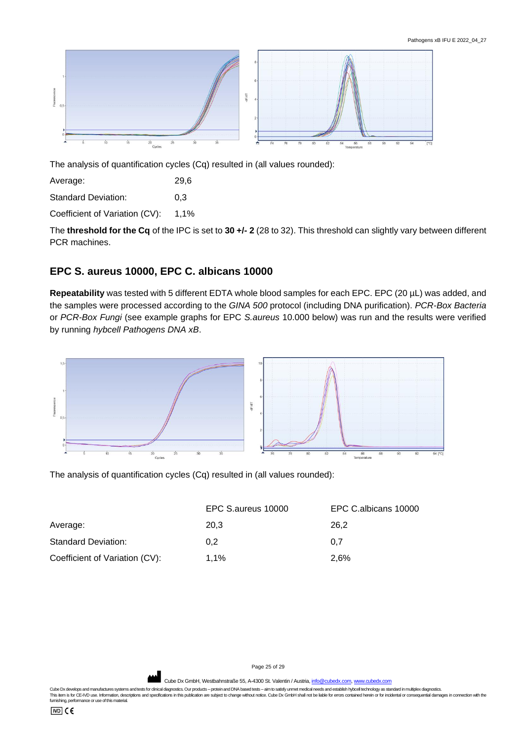

The analysis of quantification cycles (Cq) resulted in (all values rounded):

Average: 29,6

Standard Deviation: 0,3

Coefficient of Variation (CV): 1,1%

The **threshold for the Cq** of the IPC is set to **30 +/- 2** (28 to 32). This threshold can slightly vary between different PCR machines.

# **EPC S. aureus 10000, EPC C. albicans 10000**

**Repeatability** was tested with 5 different EDTA whole blood samples for each EPC. EPC (20 µL) was added, and the samples were processed according to the *GINA 500* protocol (including DNA purification). *PCR-Box Bacteria* or *PCR-Box Fungi* (see example graphs for EPC *S.aureus* 10.000 below) was run and the results were verified by running *hybcell Pathogens DNA xB*.



The analysis of quantification cycles (Cq) resulted in (all values rounded):

|                                | EPC S.aureus 10000 | EPC C.albicans 10000 |
|--------------------------------|--------------------|----------------------|
| Average:                       | 20.3               | 26.2                 |
| Standard Deviation:            | 0.2                | 0.7                  |
| Coefficient of Variation (CV): | $1.1\%$            | 2.6%                 |

Page 25 of 29

Cube Dx GmbH, Westbahnstraße 55, A-4300 St. Valentin / Austria, info@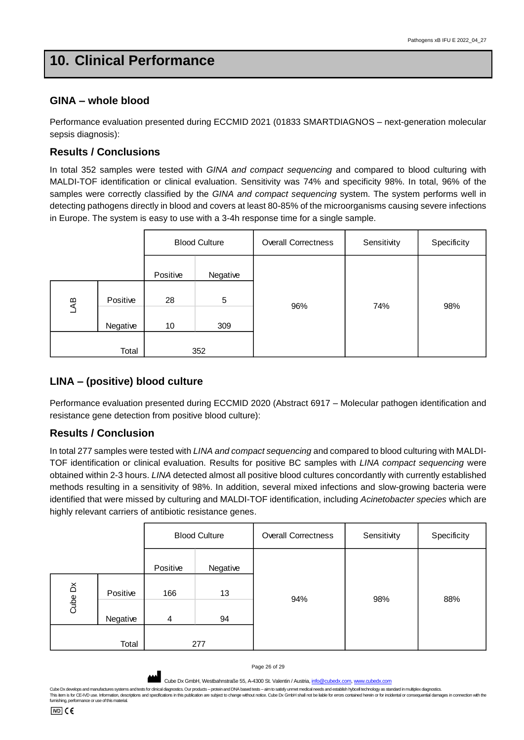# <span id="page-25-0"></span>**10. Clinical Performance**

## **GINA – whole blood**

Performance evaluation presented during ECCMID 2021 (01833 SMARTDIAGNOS – next-generation molecular sepsis diagnosis):

## **Results / Conclusions**

In total 352 samples were tested with *GINA and compact sequencing* and compared to blood culturing with MALDI-TOF identification or clinical evaluation. Sensitivity was 74% and specificity 98%. In total, 96% of the samples were correctly classified by the *GINA and compact sequencing* system. The system performs well in detecting pathogens directly in blood and covers at least 80-85% of the microorganisms causing severe infections in Europe. The system is easy to use with a 3-4h response time for a single sample.

|                 |          | <b>Blood Culture</b> |                | <b>Overall Correctness</b> | Sensitivity | Specificity |
|-----------------|----------|----------------------|----------------|----------------------------|-------------|-------------|
|                 |          | Positive             | Negative       |                            |             |             |
| $\overline{AB}$ | Positive | 28                   | $\overline{5}$ | 96%                        | 74%         | 98%         |
|                 | Negative | 10                   | 309            |                            |             |             |
|                 | Total    |                      | 352            |                            |             |             |

# **LINA – (positive) blood culture**

Performance evaluation presented during ECCMID 2020 (Abstract 6917 – Molecular pathogen identification and resistance gene detection from positive blood culture):

# **Results / Conclusion**

In total 277 samples were tested with *LINA and compact sequencing* and compared to blood culturing with MALDI-TOF identification or clinical evaluation. Results for positive BC samples with *LINA compact sequencing* were obtained within 2-3 hours. *LINA* detected almost all positive blood cultures concordantly with currently established methods resulting in a sensitivity of 98%. In addition, several mixed infections and slow-growing bacteria were identified that were missed by culturing and MALDI-TOF identification, including *Acinetobacter species* which are highly relevant carriers of antibiotic resistance genes.

|         |          | <b>Blood Culture</b> |          | <b>Overall Correctness</b> | Sensitivity | Specificity |
|---------|----------|----------------------|----------|----------------------------|-------------|-------------|
|         |          | Positive             | Negative |                            |             |             |
| Cube Dx | Positive | 166                  | 13       | 94%                        | 98%         | 88%         |
|         | Negative | 4                    | 94       |                            |             |             |
|         | Total    |                      | 277      |                            |             |             |

Page 26 of 29

Cube Dx GmbH, Westbahnstraße 55, A-4300 St. Valentin / Austria, info@cu

Cube Dx develops and manufactures systems and tests for clinical diagnostics. Our products - protein and DNA based tests - aim to satisfy unmet medical needs and establish hybcell technology as standard in multiplex diagno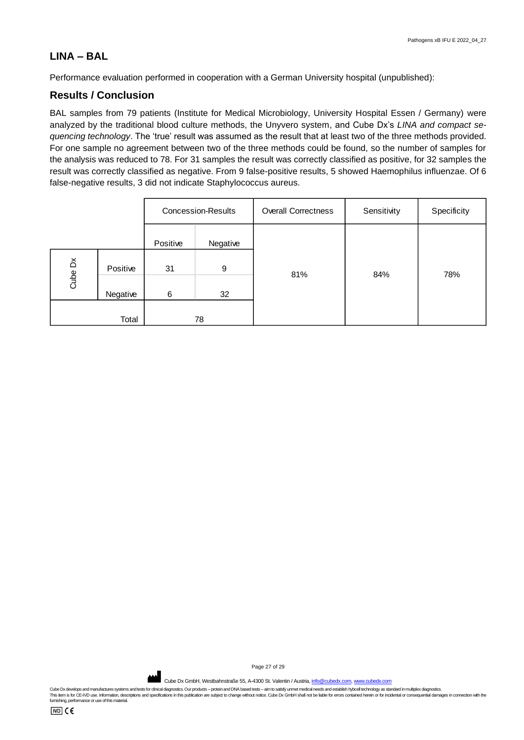## **LINA – BAL**

Performance evaluation performed in cooperation with a German University hospital (unpublished):

## **Results / Conclusion**

BAL samples from 79 patients (Institute for Medical Microbiology, University Hospital Essen / Germany) were analyzed by the traditional blood culture methods, the Unyvero system, and Cube Dx's *LINA and compact sequencing technology*. The 'true' result was assumed as the result that at least two of the three methods provided. For one sample no agreement between two of the three methods could be found, so the number of samples for the analysis was reduced to 78. For 31 samples the result was correctly classified as positive, for 32 samples the result was correctly classified as negative. From 9 false-positive results, 5 showed Haemophilus influenzae. Of 6 false-negative results, 3 did not indicate Staphylococcus aureus.

|         |          | <b>Concession-Results</b> |          | <b>Overall Correctness</b> | Sensitivity | Specificity |
|---------|----------|---------------------------|----------|----------------------------|-------------|-------------|
|         |          | Positive                  | Negative |                            |             |             |
| Cube Dx | Positive | 31                        | 9        | 81%                        | 84%         | 78%         |
|         | Negative | 6                         | 32       |                            |             |             |
|         | Total    |                           | 78       |                            |             |             |

Page 27 of 29

Cube Dx GmbH, Westbahnstraße 55, A-4300 St. Valentin / Austria[, info@cubedx.com,](mailto:info@cubedx.com) www.cube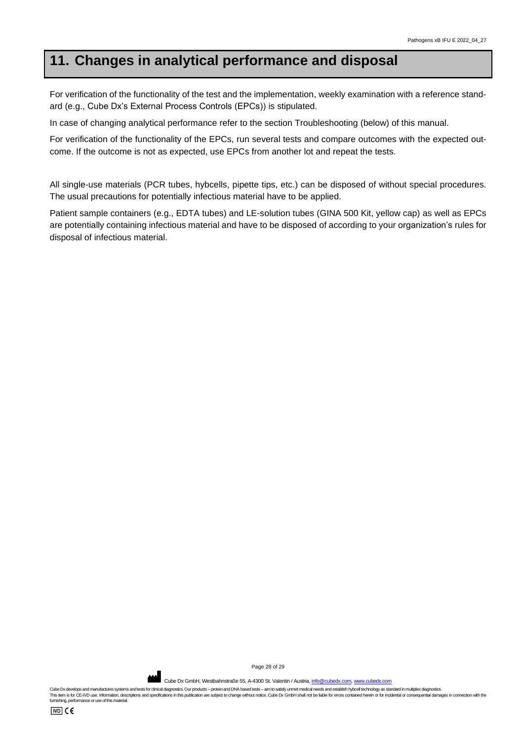# <span id="page-27-0"></span>**11. Changes in analytical performance and disposal**

For verification of the functionality of the test and the implementation, weekly examination with a reference standard (e.g., Cube Dx's External Process Controls (EPCs)) is stipulated.

In case of changing analytical performance refer to the section Troubleshooting (below) of this manual.

For verification of the functionality of the EPCs, run several tests and compare outcomes with the expected outcome. If the outcome is not as expected, use EPCs from another lot and repeat the tests.

All single-use materials (PCR tubes, hybcells, pipette tips, etc.) can be disposed of without special procedures. The usual precautions for potentially infectious material have to be applied.

Patient sample containers (e.g., EDTA tubes) and LE-solution tubes (GINA 500 Kit, yellow cap) as well as EPCs are potentially containing infectious material and have to be disposed of according to your organization's rules for disposal of infectious material.

Page 28 of 29

Cube Dx GmbH, Westbahnstraße 55, A-4300 St. Valentin / Austria, *info@cubedx.com*, www.cub